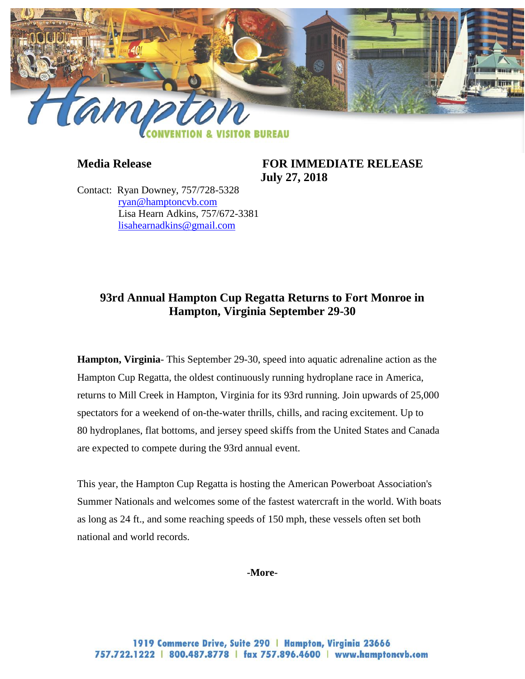

**Media Release FOR IMMEDIATE RELEASE July 27, 2018**

Contact: Ryan Downey, 757/728-5328 [ryan@hamptoncvb.com](mailto:ryan@hamptoncvb.com) Lisa Hearn Adkins, 757/672-3381 [lisahearnadkins@gmail.com](mailto:lisahearnadkins@gmail.com) 

# **93rd Annual Hampton Cup Regatta Returns to Fort Monroe in Hampton, Virginia September 29-30**

**Hampton, Virginia**- This September 29-30, speed into aquatic adrenaline action as the Hampton Cup Regatta, the oldest continuously running hydroplane race in America, returns to Mill Creek in Hampton, Virginia for its 93rd running. Join upwards of 25,000 spectators for a weekend of on-the-water thrills, chills, and racing excitement. Up to 80 hydroplanes, flat bottoms, and jersey speed skiffs from the United States and Canada are expected to compete during the 93rd annual event.

This year, the Hampton Cup Regatta is hosting the American Powerboat Association's Summer Nationals and welcomes some of the fastest watercraft in the world. With boats as long as 24 ft., and some reaching speeds of 150 mph, these vessels often set both national and world records.

#### **-More-**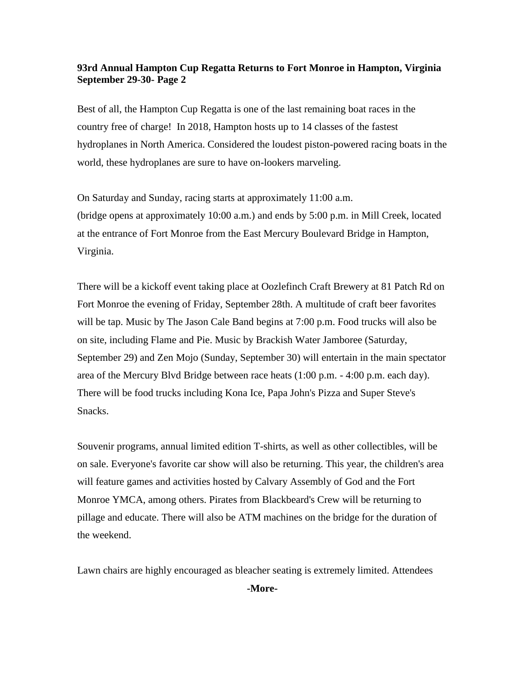### **93rd Annual Hampton Cup Regatta Returns to Fort Monroe in Hampton, Virginia September 29-30- Page 2**

Best of all, the Hampton Cup Regatta is one of the last remaining boat races in the country free of charge! In 2018, Hampton hosts up to 14 classes of the fastest hydroplanes in North America. Considered the loudest piston-powered racing boats in the world, these hydroplanes are sure to have on-lookers marveling.

On Saturday and Sunday, racing starts at approximately 11:00 a.m. (bridge opens at approximately 10:00 a.m.) and ends by 5:00 p.m. in Mill Creek, located at the entrance of Fort Monroe from the East Mercury Boulevard Bridge in Hampton, Virginia.

There will be a kickoff event taking place at Oozlefinch Craft Brewery at 81 Patch Rd on Fort Monroe the evening of Friday, September 28th. A multitude of craft beer favorites will be tap. Music by The Jason Cale Band begins at 7:00 p.m. Food trucks will also be on site, including Flame and Pie. Music by Brackish Water Jamboree (Saturday, September 29) and Zen Mojo (Sunday, September 30) will entertain in the main spectator area of the Mercury Blvd Bridge between race heats (1:00 p.m. - 4:00 p.m. each day). There will be food trucks including Kona Ice, Papa John's Pizza and Super Steve's Snacks.

Souvenir programs, annual limited edition T-shirts, as well as other collectibles, will be on sale. Everyone's favorite car show will also be returning. This year, the children's area will feature games and activities hosted by Calvary Assembly of God and the Fort Monroe YMCA, among others. Pirates from Blackbeard's Crew will be returning to pillage and educate. There will also be ATM machines on the bridge for the duration of the weekend.

Lawn chairs are highly encouraged as bleacher seating is extremely limited. Attendees

**-More-**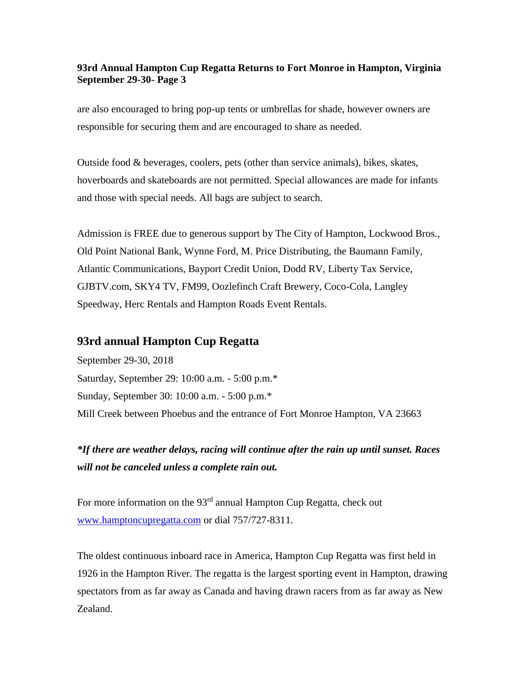## **93rd Annual Hampton Cup Regatta Returns to Fort Monroe in Hampton, Virginia September 29-30- Page 3**

are also encouraged to bring pop-up tents or umbrellas for shade, however owners are responsible for securing them and are encouraged to share as needed.

Outside food & beverages, coolers, pets (other than service animals), bikes, skates, hoverboards and skateboards are not permitted. Special allowances are made for infants and those with special needs. All bags are subject to search.

Admission is FREE due to generous support by The City of Hampton, Lockwood Bros., Old Point National Bank, Wynne Ford, M. Price Distributing, the Baumann Family, Atlantic Communications, Bayport Credit Union, Dodd RV, Liberty Tax Service, GJBTV.com, SKY4 TV, FM99, Oozlefinch Craft Brewery, Coco-Cola, Langley Speedway, Herc Rentals and Hampton Roads Event Rentals.

## **93rd annual Hampton Cup Regatta**

September 29-30, 2018 Saturday, September 29: 10:00 a.m. - 5:00 p.m.\* Sunday, September 30: 10:00 a.m. - 5:00 p.m.\* Mill Creek between Phoebus and the entrance of Fort Monroe Hampton, VA 23663

*\*If there are weather delays, racing will continue after the rain up until sunset. Races will not be canceled unless a complete rain out.*

For more information on the  $93<sup>rd</sup>$  annual Hampton Cup Regatta, check out [www.hamptoncupregatta.com](http://www.hamptoncupregatta.com/) or dial 757/727-8311.

The oldest continuous inboard race in America, Hampton Cup Regatta was first held in 1926 in the Hampton River. The regatta is the largest sporting event in Hampton, drawing spectators from as far away as Canada and having drawn racers from as far away as New Zealand.